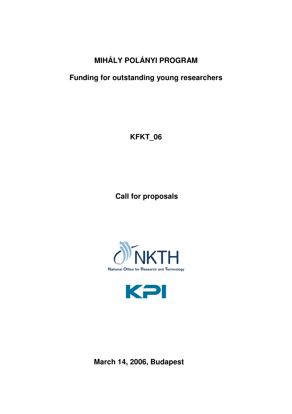# **MIHÁLY POLÁNYI PROGRAM**

# **Funding for outstanding young researchers**

**KFKT\_06**

**Call for proposals**





**March 14, 2006, Budapest**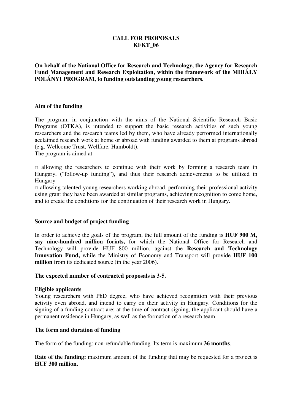### **CALL FOR PROPOSALS KFKT\_06**

**On behalf of the National Office for Research and Technology, the Agency for Research Fund Management and Research Exploitation, within the framework of the MIHÁLY POLÁNYI PROGRAM, to funding outstanding young researchers.** 

#### **Aim of the funding**

The program, in conjunction with the aims of the National Scientific Research Basic Programs (OTKA), is intended to support the basic research activities of such young researchers and the research teams led by them, who have already performed internationally acclaimed research work at home or abroad with funding awarded to them at programs abroad (e.g. Wellcome Trust, Wellfare, Humboldt).

The program is aimed at

 $\Box$  allowing the researchers to continue with their work by forming a research team in Hungary, ("follow-up funding"), and thus their research achievements to be utilized in Hungary

 $\Box$  allowing talented young researchers working abroad, performing their professional activity using grant they have been awarded at similar programs, achieving recognition to come home, and to create the conditions for the continuation of their research work in Hungary.

#### **Source and budget of project funding**

In order to achieve the goals of the program, the full amount of the funding is **HUF 900 M, say nine-hundred million forints,** for which the National Office for Research and Technology will provide HUF 800 million, against the **Research and Technology Innovation Fund,** while the Ministry of Economy and Transport will provide **HUF 100 million** from its dedicated source (in the year 2006).

#### **The expected number of contracted proposals is 3-5.**

#### **Eligible applicants**

Young researchers with PhD degree, who have achieved recognition with their previous activity even abroad, and intend to carry on their activity in Hungary. Conditions for the signing of a funding contract are: at the time of contract signing, the applicant should have a permanent residence in Hungary, as well as the formation of a research team.

#### **The form and duration of funding**

The form of the funding: non-refundable funding. Its term is maximum **36 months**.

**Rate of the funding:** maximum amount of the funding that may be requested for a project is **HUF 300 million.**